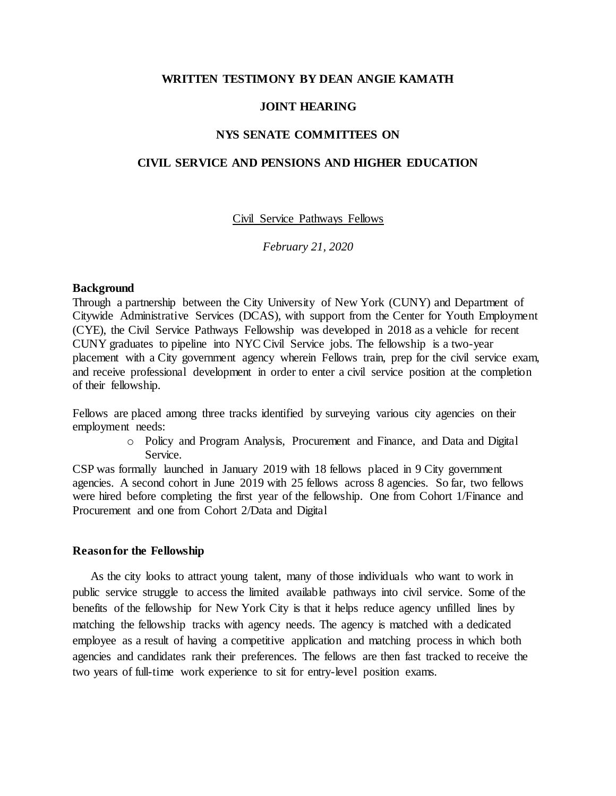## **WRITTEN TESTIMONY BY DEAN ANGIE KAMATH**

## **JOINT HEARING**

# **NYS SENATE COMMITTEES ON**

# **CIVIL SERVICE AND PENSIONS AND HIGHER EDUCATION**

Civil Service Pathways Fellows

*February 21, 2020*

### **Background**

Through a partnership between the City University of New York (CUNY) and Department of Citywide Administrative Services (DCAS), with support from the Center for Youth Employment (CYE), the Civil Service Pathways Fellowship was developed in 2018 as a vehicle for recent CUNY graduates to pipeline into NYC Civil Service jobs. The fellowship is a two-year placement with a City government agency wherein Fellows train, prep for the civil service exam, and receive professional development in order to enter a civil service position at the completion of their fellowship.

Fellows are placed among three tracks identified by surveying various city agencies on their employment needs:

> o Policy and Program Analysis, Procurement and Finance, and Data and Digital Service.

CSP was formally launched in January 2019 with 18 fellows placed in 9 City government agencies. A second cohort in June 2019 with 25 fellows across 8 agencies. So far, two fellows were hired before completing the first year of the fellowship. One from Cohort 1/Finance and Procurement and one from Cohort 2/Data and Digital

#### **Reason for the Fellowship**

As the city looks to attract young talent, many of those individuals who want to work in public service struggle to access the limited available pathways into civil service. Some of the benefits of the fellowship for New York City is that it helps reduce agency unfilled lines by matching the fellowship tracks with agency needs. The agency is matched with a dedicated employee as a result of having a competitive application and matching process in which both agencies and candidates rank their preferences. The fellows are then fast tracked to receive the two years of full-time work experience to sit for entry-level position exams.